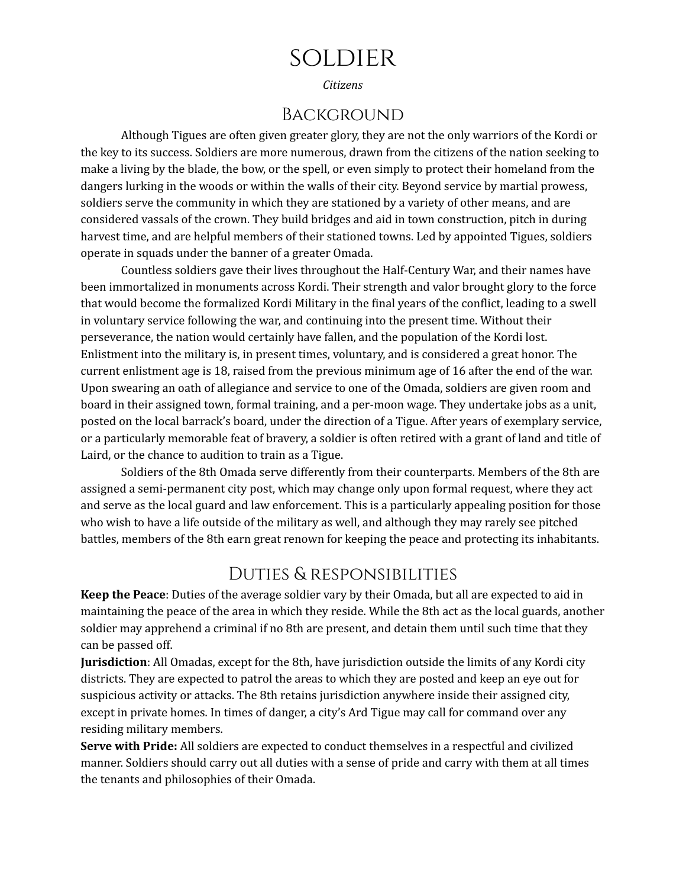# soldier

*Citizens*

#### Background

Although Tigues are often given greater glory, they are not the only warriors of the Kordi or the key to its success. Soldiers are more numerous, drawn from the citizens of the nation seeking to make a living by the blade, the bow, or the spell, or even simply to protect their homeland from the dangers lurking in the woods or within the walls of their city. Beyond service by martial prowess, soldiers serve the community in which they are stationed by a variety of other means, and are considered vassals of the crown. They build bridges and aid in town construction, pitch in during harvest time, and are helpful members of their stationed towns. Led by appointed Tigues, soldiers operate in squads under the banner of a greater Omada.

Countless soldiers gave their lives throughout the Half-Century War, and their names have been immortalized in monuments across Kordi. Their strength and valor brought glory to the force that would become the formalized Kordi Military in the final years of the conflict, leading to a swell in voluntary service following the war, and continuing into the present time. Without their perseverance, the nation would certainly have fallen, and the population of the Kordi lost. Enlistment into the military is, in present times, voluntary, and is considered a great honor. The current enlistment age is 18, raised from the previous minimum age of 16 after the end of the war. Upon swearing an oath of allegiance and service to one of the Omada, soldiers are given room and board in their assigned town, formal training, and a per-moon wage. They undertake jobs as a unit, posted on the local barrack's board, under the direction of a Tigue. After years of exemplary service, or a particularly memorable feat of bravery, a soldier is often retired with a grant of land and title of Laird, or the chance to audition to train as a Tigue.

Soldiers of the 8th Omada serve differently from their counterparts. Members of the 8th are assigned a semi-permanent city post, which may change only upon formal request, where they act and serve as the local guard and law enforcement. This is a particularly appealing position for those who wish to have a life outside of the military as well, and although they may rarely see pitched battles, members of the 8th earn great renown for keeping the peace and protecting its inhabitants.

#### Duties & responsibilities

**Keep the Peace**: Duties of the average soldier vary by their Omada, but all are expected to aid in maintaining the peace of the area in which they reside. While the 8th act as the local guards, another soldier may apprehend a criminal if no 8th are present, and detain them until such time that they can be passed off.

**Jurisdiction**: All Omadas, except for the 8th, have jurisdiction outside the limits of any Kordi city districts. They are expected to patrol the areas to which they are posted and keep an eye out for suspicious activity or attacks. The 8th retains jurisdiction anywhere inside their assigned city, except in private homes. In times of danger, a city's Ard Tigue may call for command over any residing military members.

**Serve with Pride:** All soldiers are expected to conduct themselves in a respectful and civilized manner. Soldiers should carry out all duties with a sense of pride and carry with them at all times the tenants and philosophies of their Omada.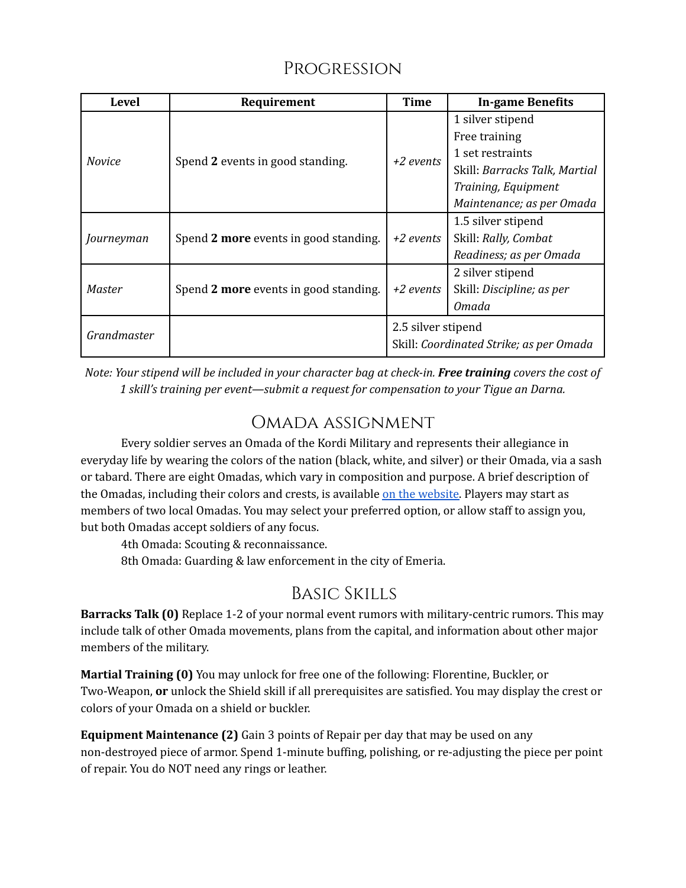#### Progression

| Level         | Requirement                           | <b>Time</b>                                                   | <b>In-game Benefits</b>       |
|---------------|---------------------------------------|---------------------------------------------------------------|-------------------------------|
| <b>Novice</b> | Spend 2 events in good standing.      | $+2$ events                                                   | 1 silver stipend              |
|               |                                       |                                                               | Free training                 |
|               |                                       |                                                               | 1 set restraints              |
|               |                                       |                                                               | Skill: Barracks Talk, Martial |
|               |                                       |                                                               | Training, Equipment           |
|               |                                       |                                                               | Maintenance; as per Omada     |
| Journeyman    | Spend 2 more events in good standing. | +2 events                                                     | 1.5 silver stipend            |
|               |                                       |                                                               | Skill: Rally, Combat          |
|               |                                       |                                                               | Readiness; as per Omada       |
| Master        | Spend 2 more events in good standing. | $+2$ events                                                   | 2 silver stipend              |
|               |                                       |                                                               | Skill: Discipline; as per     |
|               |                                       |                                                               | Omada                         |
| Grandmaster   |                                       | 2.5 silver stipend<br>Skill: Coordinated Strike; as per Omada |                               |
|               |                                       |                                                               |                               |

Note: Your stipend will be included in your character bag at check-in. Free training covers the cost of *1 skill's training per event—submit a request for compensation to your Tigue an Darna.*

## Omada assignment

Every soldier serves an Omada of the Kordi Military and represents their allegiance in everyday life by wearing the colors of the nation (black, white, and silver) or their Omada, via a sash or tabard. There are eight Omadas, which vary in composition and purpose. A brief description of the Omadas, including their colors and crests, is available on the [website.](https://www.eraschronicles.com/post/worldbuilding-wednesday-part-7-the-omadas) Players may start as members of two local Omadas. You may select your preferred option, or allow staff to assign you, but both Omadas accept soldiers of any focus.

4th Omada: Scouting & reconnaissance.

8th Omada: Guarding & law enforcement in the city of Emeria.

## Basic Skills

**Barracks Talk (0)** Replace 1-2 of your normal event rumors with military-centric rumors. This may include talk of other Omada movements, plans from the capital, and information about other major members of the military.

**Martial Training (0)** You may unlock for free one of the following: Florentine, Buckler, or Two-Weapon, **or** unlock the Shield skill if all prerequisites are satisfied. You may display the crest or colors of your Omada on a shield or buckler.

**Equipment Maintenance (2)** Gain 3 points of Repair per day that may be used on any non-destroyed piece of armor. Spend 1-minute buffing, polishing, or re-adjusting the piece per point of repair. You do NOT need any rings or leather.